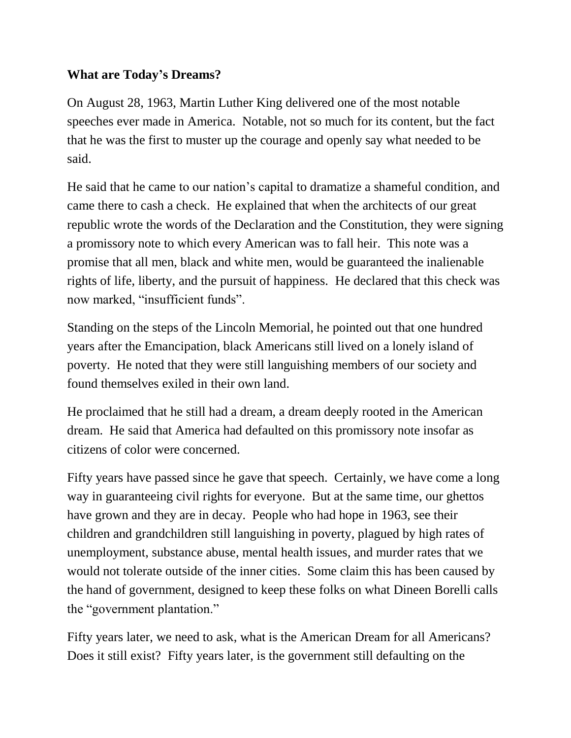## **What are Today's Dreams?**

On August 28, 1963, Martin Luther King delivered one of the most notable speeches ever made in America. Notable, not so much for its content, but the fact that he was the first to muster up the courage and openly say what needed to be said.

He said that he came to our nation's capital to dramatize a shameful condition, and came there to cash a check. He explained that when the architects of our great republic wrote the words of the Declaration and the Constitution, they were signing a promissory note to which every American was to fall heir. This note was a promise that all men, black and white men, would be guaranteed the inalienable rights of life, liberty, and the pursuit of happiness. He declared that this check was now marked, "insufficient funds".

Standing on the steps of the Lincoln Memorial, he pointed out that one hundred years after the Emancipation, black Americans still lived on a lonely island of poverty. He noted that they were still languishing members of our society and found themselves exiled in their own land.

He proclaimed that he still had a dream, a dream deeply rooted in the American dream. He said that America had defaulted on this promissory note insofar as citizens of color were concerned.

Fifty years have passed since he gave that speech. Certainly, we have come a long way in guaranteeing civil rights for everyone. But at the same time, our ghettos have grown and they are in decay. People who had hope in 1963, see their children and grandchildren still languishing in poverty, plagued by high rates of unemployment, substance abuse, mental health issues, and murder rates that we would not tolerate outside of the inner cities. Some claim this has been caused by the hand of government, designed to keep these folks on what Dineen Borelli calls the "government plantation."

Fifty years later, we need to ask, what is the American Dream for all Americans? Does it still exist? Fifty years later, is the government still defaulting on the